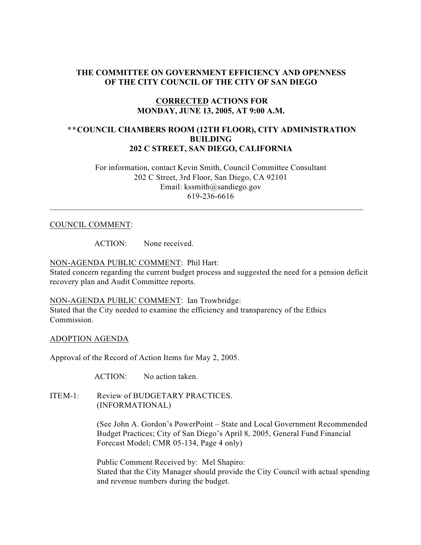# **THE COMMITTEE ON GOVERNMENT EFFICIENCY AND OPENNESS OF THE CITY COUNCIL OF THE CITY OF SAN DIEGO**

# **CORRECTED ACTIONS FOR MONDAY, JUNE 13, 2005, AT 9:00 A.M.**

# **\*\*COUNCIL CHAMBERS ROOM (12TH FLOOR), CITY ADMINISTRATION BUILDING 202 C STREET, SAN DIEGO, CALIFORNIA**

 For information, contact Kevin Smith, Council Committee Consultant 202 C Street, 3rd Floor, San Diego, CA 92101 Email: kssmith@sandiego.gov 619-236-6616

 $\_$  , and the state of the state of the state of the state of the state of the state of the state of the state of the state of the state of the state of the state of the state of the state of the state of the state of the

#### COUNCIL COMMENT:

ACTION: None received.

# NON-AGENDA PUBLIC COMMENT: Phil Hart:

Stated concern regarding the current budget process and suggested the need for a pension deficit recovery plan and Audit Committee reports.

NON-AGENDA PUBLIC COMMENT: Ian Trowbridge: Stated that the City needed to examine the efficiency and transparency of the Ethics

Commission.

ADOPTION AGENDA

Approval of the Record of Action Items for May 2, 2005.

ACTION: No action taken.

ITEM-1: Review of BUDGETARY PRACTICES. (INFORMATIONAL)

> (See John A. Gordon's PowerPoint – State and Local Government Recommended Budget Practices; City of San Diego's April 8, 2005, General Fund Financial Forecast Model; CMR 05-134, Page 4 only)

> Public Comment Received by: Mel Shapiro: Stated that the City Manager should provide the City Council with actual spending and revenue numbers during the budget.